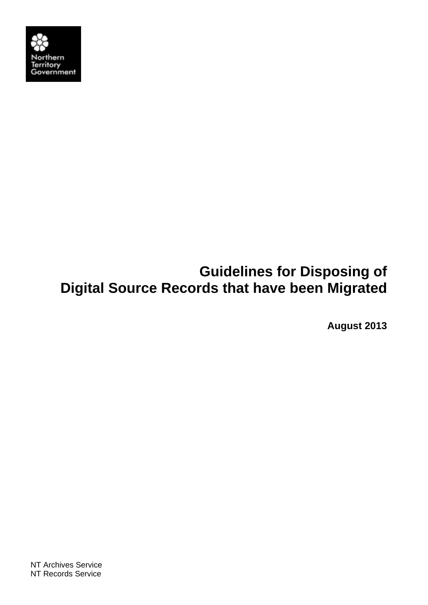

# **Guidelines for Disposing of Digital Source Records that have been Migrated**

**August 2013**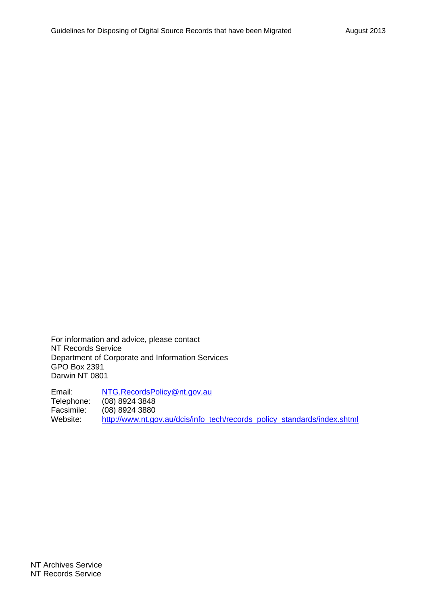For information and advice, please contact NT Records Service Department of Corporate and Information Services GPO Box 2391 Darwin NT 0801

Email: NTG.RecordsPolicy@nt.gov.au Telephone: (08) 8924 3848 Facsimile: (08) 8924 3880<br>Website: http://www.nt.go http://www.nt.gov.au/dcis/info\_tech/records\_policy\_standards/index.shtml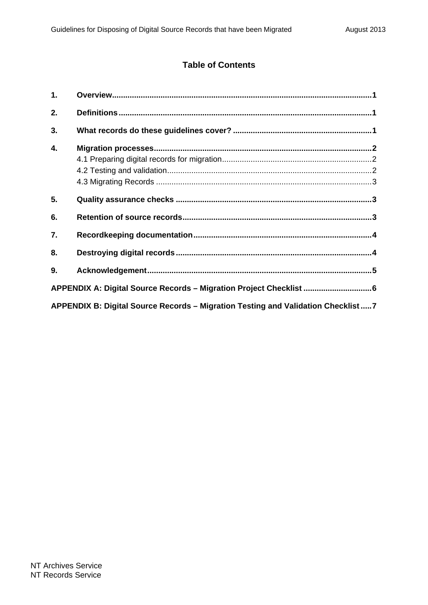#### **Table of Contents**

| 1.                                                                                 |  |  |  |
|------------------------------------------------------------------------------------|--|--|--|
| 2.                                                                                 |  |  |  |
| 3.                                                                                 |  |  |  |
| 4.                                                                                 |  |  |  |
|                                                                                    |  |  |  |
|                                                                                    |  |  |  |
|                                                                                    |  |  |  |
| 5.                                                                                 |  |  |  |
| 6.                                                                                 |  |  |  |
| 7.                                                                                 |  |  |  |
| 8.                                                                                 |  |  |  |
| 9.                                                                                 |  |  |  |
| APPENDIX A: Digital Source Records - Migration Project Checklist  6                |  |  |  |
| APPENDIX B: Digital Source Records - Migration Testing and Validation Checklist  7 |  |  |  |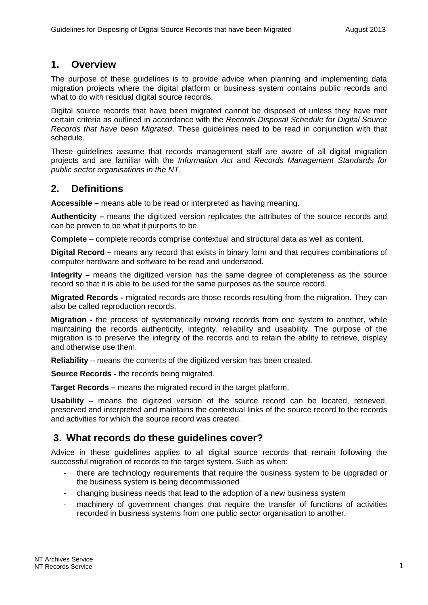#### **1. Overview**

The purpose of these guidelines is to provide advice when planning and implementing data migration projects where the digital platform or business system contains public records and what to do with residual digital source records.

Digital source records that have been migrated cannot be disposed of unless they have met certain criteria as outlined in accordance with the *Records Disposal Schedule for Digital Source Records that have been Migrated*. These guidelines need to be read in conjunction with that schedule.

These guidelines assume that records management staff are aware of all digital migration projects and are familiar with the *Information Act* and *Records Management Standards for public sector organisations in the NT*.

### **2. Definitions**

**Accessible –** means able to be read or interpreted as having meaning.

**Authenticity –** means the digitized version replicates the attributes of the source records and can be proven to be what it purports to be.

**Complete** – complete records comprise contextual and structural data as well as content.

**Digital Record –** means any record that exists in binary form and that requires combinations of computer hardware and software to be read and understood.

**Integrity –** means the digitized version has the same degree of completeness as the source record so that it is able to be used for the same purposes as the source record.

**Migrated Records -** migrated records are those records resulting from the migration. They can also be called reproduction records.

**Migration -** the process of systematically moving records from one system to another, while maintaining the records authenticity, integrity, reliability and useability. The purpose of the migration is to preserve the integrity of the records and to retain the ability to retrieve, display and otherwise use them.

**Reliability** – means the contents of the digitized version has been created.

**Source Records -** the records being migrated.

**Target Records –** means the migrated record in the target platform.

**Usability** – means the digitized version of the source record can be located, retrieved, preserved and interpreted and maintains the contextual links of the source record to the records and activities for which the source record was created.

### **3. What records do these guidelines cover?**

Advice in these guidelines applies to all digital source records that remain following the successful migration of records to the target system. Such as when:

- there are technology requirements that require the business system to be upgraded or the business system is being decommissioned
- changing business needs that lead to the adoption of a new business system
- machinery of government changes that require the transfer of functions of activities recorded in business systems from one public sector organisation to another.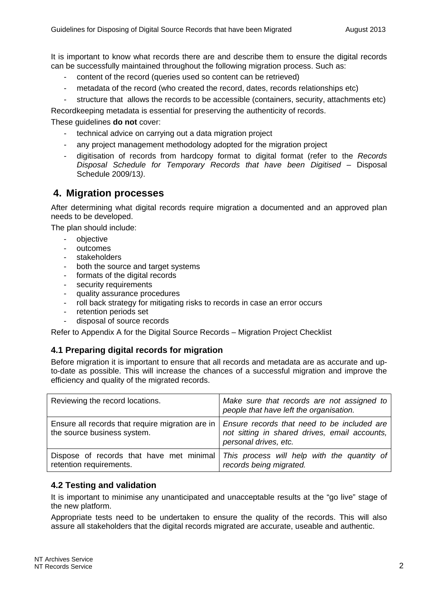It is important to know what records there are and describe them to ensure the digital records can be successfully maintained throughout the following migration process. Such as:

- content of the record (queries used so content can be retrieved)
- metadata of the record (who created the record, dates, records relationships etc)
- structure that allows the records to be accessible (containers, security, attachments etc)

Recordkeeping metadata is essential for preserving the authenticity of records.

These guidelines **do not** cover:

- technical advice on carrying out a data migration project
- any project management methodology adopted for the migration project
- digitisation of records from hardcopy format to digital format (refer to the *Records Disposal Schedule for Temporary Records that have been Digitised –* Disposal Schedule 2009/13*)*.

### **4. Migration processes**

After determining what digital records require migration a documented and an approved plan needs to be developed.

The plan should include:

- objective
- outcomes
- stakeholders
- both the source and target systems
- formats of the digital records
- security requirements
- quality assurance procedures
- roll back strategy for mitigating risks to records in case an error occurs
- retention periods set
- disposal of source records

Refer to Appendix A for the Digital Source Records – Migration Project Checklist

#### **4.1 Preparing digital records for migration**

Before migration it is important to ensure that all records and metadata are as accurate and upto-date as possible. This will increase the chances of a successful migration and improve the efficiency and quality of the migrated records.

| Reviewing the record locations.                                                 | Make sure that records are not assigned to<br>people that have left the organisation.                                 |
|---------------------------------------------------------------------------------|-----------------------------------------------------------------------------------------------------------------------|
| Ensure all records that require migration are in<br>the source business system. | Ensure records that need to be included are<br>not sitting in shared drives, email accounts,<br>personal drives, etc. |
| Dispose of records that have met minimal<br>retention requirements.             | This process will help with the quantity of<br>records being migrated.                                                |

#### **4.2 Testing and validation**

It is important to minimise any unanticipated and unacceptable results at the "go live" stage of the new platform.

Appropriate tests need to be undertaken to ensure the quality of the records. This will also assure all stakeholders that the digital records migrated are accurate, useable and authentic.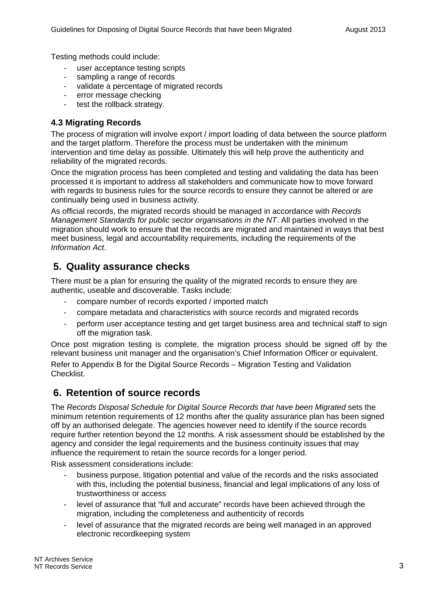Testing methods could include:

- user acceptance testing scripts
- sampling a range of records
- validate a percentage of migrated records
- error message checking
- test the rollback strategy.

#### **4.3 Migrating Records**

The process of migration will involve export / import loading of data between the source platform and the target platform. Therefore the process must be undertaken with the minimum intervention and time delay as possible. Ultimately this will help prove the authenticity and reliability of the migrated records.

Once the migration process has been completed and testing and validating the data has been processed it is important to address all stakeholders and communicate how to move forward with regards to business rules for the source records to ensure they cannot be altered or are continually being used in business activity.

As official records, the migrated records should be managed in accordance with *Records Management Standards for public sector organisations in the NT*. All parties involved in the migration should work to ensure that the records are migrated and maintained in ways that best meet business, legal and accountability requirements, including the requirements of the *Information Act*.

# **5. Quality assurance checks**

There must be a plan for ensuring the quality of the migrated records to ensure they are authentic, useable and discoverable. Tasks include:

- compare number of records exported / imported match
- compare metadata and characteristics with source records and migrated records
- perform user acceptance testing and get target business area and technical staff to sign off the migration task.

Once post migration testing is complete, the migration process should be signed off by the relevant business unit manager and the organisation's Chief Information Officer or equivalent.

Refer to Appendix B for the Digital Source Records – Migration Testing and Validation Checklist.

### **6. Retention of source records**

The *Records Disposal Schedule for Digital Source Records that have been Migrated* sets the minimum retention requirements of 12 months after the quality assurance plan has been signed off by an authorised delegate. The agencies however need to identify if the source records require further retention beyond the 12 months. A risk assessment should be established by the agency and consider the legal requirements and the business continuity issues that may influence the requirement to retain the source records for a longer period.

Risk assessment considerations include:

- business purpose, litigation potential and value of the records and the risks associated with this, including the potential business, financial and legal implications of any loss of trustworthiness or access
- level of assurance that "full and accurate" records have been achieved through the migration, including the completeness and authenticity of records
- level of assurance that the migrated records are being well managed in an approved electronic recordkeeping system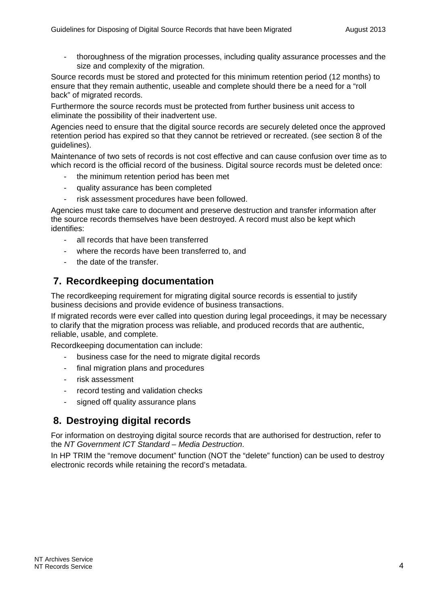- thoroughness of the migration processes, including quality assurance processes and the size and complexity of the migration.

Source records must be stored and protected for this minimum retention period (12 months) to ensure that they remain authentic, useable and complete should there be a need for a "roll back" of migrated records.

Furthermore the source records must be protected from further business unit access to eliminate the possibility of their inadvertent use.

Agencies need to ensure that the digital source records are securely deleted once the approved retention period has expired so that they cannot be retrieved or recreated. (see section 8 of the guidelines).

Maintenance of two sets of records is not cost effective and can cause confusion over time as to which record is the official record of the business. Digital source records must be deleted once:

- the minimum retention period has been met
- quality assurance has been completed
- risk assessment procedures have been followed.

Agencies must take care to document and preserve destruction and transfer information after the source records themselves have been destroyed. A record must also be kept which identifies:

- all records that have been transferred
- where the records have been transferred to, and
- the date of the transfer.

# **7. Recordkeeping documentation**

The recordkeeping requirement for migrating digital source records is essential to justify business decisions and provide evidence of business transactions.

If migrated records were ever called into question during legal proceedings, it may be necessary to clarify that the migration process was reliable, and produced records that are authentic, reliable, usable, and complete.

Recordkeeping documentation can include:

- business case for the need to migrate digital records
- final migration plans and procedures
- risk assessment
- record testing and validation checks
- signed off quality assurance plans

# **8. Destroying digital records**

For information on destroying digital source records that are authorised for destruction, refer to the *NT Government ICT Standard – Media Destruction*.

In HP TRIM the "remove document" function (NOT the "delete" function) can be used to destroy electronic records while retaining the record's metadata.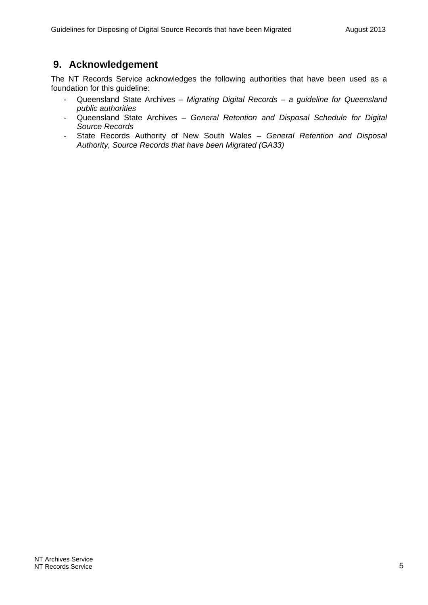### **9. Acknowledgement**

The NT Records Service acknowledges the following authorities that have been used as a foundation for this guideline:

- Queensland State Archives *Migrating Digital Records a guideline for Queensland public authorities*
- Queensland State Archives *General Retention and Disposal Schedule for Digital Source Records*
- State Records Authority of New South Wales *General Retention and Disposal Authority, Source Records that have been Migrated (GA33)*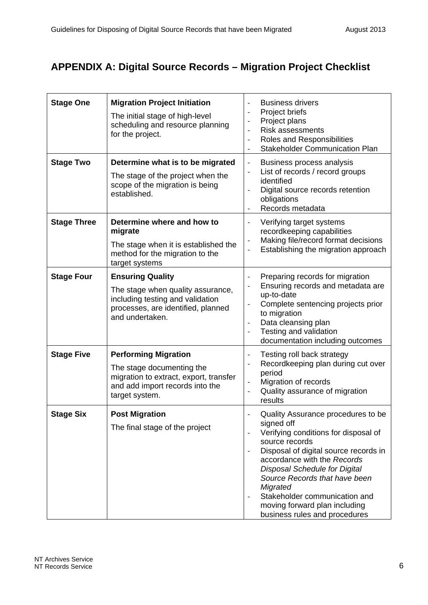# **APPENDIX A: Digital Source Records – Migration Project Checklist**

| <b>Stage One</b>   | <b>Migration Project Initiation</b><br>The initial stage of high-level<br>scheduling and resource planning<br>for the project.                            | <b>Business drivers</b><br>$\blacksquare$<br>Project briefs<br>$\overline{\phantom{a}}$<br>Project plans<br>$\blacksquare$<br>Risk assessments<br>Roles and Responsibilities<br>$\overline{\phantom{a}}$<br><b>Stakeholder Communication Plan</b><br>$\overline{\phantom{a}}$                                                                                              |
|--------------------|-----------------------------------------------------------------------------------------------------------------------------------------------------------|----------------------------------------------------------------------------------------------------------------------------------------------------------------------------------------------------------------------------------------------------------------------------------------------------------------------------------------------------------------------------|
| <b>Stage Two</b>   | Determine what is to be migrated<br>The stage of the project when the<br>scope of the migration is being<br>established.                                  | Business process analysis<br>$\overline{\phantom{a}}$<br>List of records / record groups<br>identified<br>Digital source records retention<br>obligations<br>Records metadata                                                                                                                                                                                              |
| <b>Stage Three</b> | Determine where and how to<br>migrate<br>The stage when it is established the<br>method for the migration to the<br>target systems                        | Verifying target systems<br>$\overline{\phantom{a}}$<br>recordkeeping capabilities<br>Making file/record format decisions<br>$\overline{\phantom{a}}$<br>Establishing the migration approach<br>$\overline{\phantom{a}}$                                                                                                                                                   |
| <b>Stage Four</b>  | <b>Ensuring Quality</b><br>The stage when quality assurance,<br>including testing and validation<br>processes, are identified, planned<br>and undertaken. | Preparing records for migration<br>Ensuring records and metadata are<br>up-to-date<br>Complete sentencing projects prior<br>$\overline{\phantom{a}}$<br>to migration<br>Data cleansing plan<br>$\overline{\phantom{a}}$<br>Testing and validation<br>$\overline{\phantom{a}}$<br>documentation including outcomes                                                          |
| <b>Stage Five</b>  | <b>Performing Migration</b><br>The stage documenting the<br>migration to extract, export, transfer<br>and add import records into the<br>target system.   | Testing roll back strategy<br>$\overline{\phantom{a}}$<br>Recordkeeping plan during cut over<br>$\overline{\phantom{a}}$<br>period<br>Migration of records<br>Quality assurance of migration<br>$\overline{\phantom{a}}$<br>results                                                                                                                                        |
| <b>Stage Six</b>   | <b>Post Migration</b><br>The final stage of the project                                                                                                   | Quality Assurance procedures to be<br>signed off<br>Verifying conditions for disposal of<br>source records<br>Disposal of digital source records in<br>accordance with the Records<br><b>Disposal Schedule for Digital</b><br>Source Records that have been<br>Migrated<br>Stakeholder communication and<br>moving forward plan including<br>business rules and procedures |